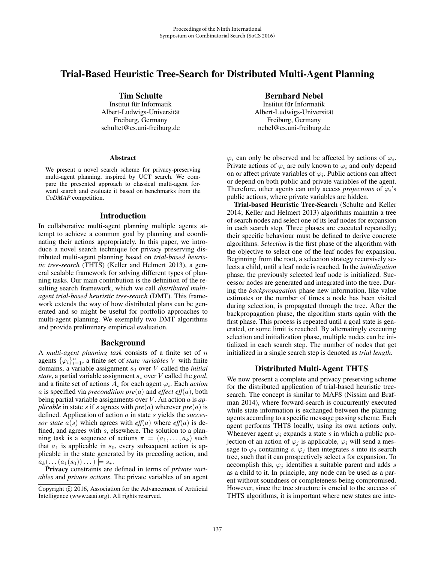# Trial-Based Heuristic Tree-Search for Distributed Multi-Agent Planning

Tim Schulte

Institut für Informatik Albert-Ludwigs-Universitat¨ Freiburg, Germany schultet@cs.uni-freiburg.de

### **Abstract**

We present a novel search scheme for privacy-preserving multi-agent planning, inspired by UCT search. We compare the presented approach to classical multi-agent forward search and evaluate it based on benchmarks from the *CoDMAP* competition.

## Introduction

In collaborative multi-agent planning multiple agents attempt to achieve a common goal by planning and coordinating their actions appropriately. In this paper, we introduce a novel search technique for privacy preserving distributed multi-agent planning based on *trial-based heuristic tree-search* (THTS) (Keller and Helmert 2013), a general scalable framework for solving different types of planning tasks. Our main contribution is the definition of the resulting search framework, which we call *distributed multiagent trial-based heuristic tree-search* (DMT). This framework extends the way of how distributed plans can be generated and so might be useful for portfolio approaches to multi-agent planning. We exemplify two DMT algorithms and provide preliminary empirical evaluation.

### Background

<sup>A</sup> *multi-agent planning task* consists of a finite set of n agents  $\{\varphi_i\}_{i=1}^n$ , a finite set of *state variables* V with finite domains a variable assignment so over V called the *initial* domains, a variable assignment  $s_0$  over V called the *initial state*, a partial variable assignment  $s_{\star}$  over V called the *goal*, and a finite set of actions  $A_{\star}$  for each agent  $\varphi_{\star}$ . Each *action* and a finite set of actions  $A_i$  for each agent  $\varphi_i$ . Each *action* a is specified via *precondition*  $pre(a)$  and *effect eff* $(a)$ , both being partial variable assignments over V . An action a is *applicable* in state s if s agrees with  $pre(a)$  wherever  $pre(a)$  is defined. Application of action a in state s yields the *successor state*  $a(s)$  which agrees with *eff*(*a*) where *eff*(*a*) is defined, and agrees with *s*, elsewhere. The solution to a planfined, and agrees with s, elsewhere. The solution to a plan-<br>ning task is a sequence of actions  $\pi = (a_1, a_2)$  such ning task is a sequence of actions  $\pi = (a_1, \ldots, a_k)$  such that  $a_1$  is applicable in  $s_0$  every subsequent action is applicable. that  $a_1$  is applicable in  $s_0$ , every subsequent action is applicable in the state generated by its preceding action, and  $a_k(\dots(a_1(s_0))\dots) \models s_\star.$ <br>**Privacy** constraints are

Privacy constraints are defined in terms of *private variables* and *private actions*. The private variables of an agent

# Bernhard Nebel

Institut für Informatik Albert-Ludwigs-Universitat¨ Freiburg, Germany nebel@cs.uni-freiburg.de

 $\varphi_i$  can only be observed and be affected by actions of  $\varphi_i$ . Private actions of  $\varphi_i$  are only known to  $\varphi_i$  and only depend on or affect private variables of  $\varphi_i$ . Public actions can affect or depend on both public and private variables of the agent. Therefore, other agents can only access *projections* of  $\varphi_i$ 's public actions, where private variables are hidden.

Trial-based Heuristic Tree-Search (Schulte and Keller 2014; Keller and Helmert 2013) algorithms maintain a tree of search nodes and select one of its leaf nodes for expansion in each search step. Three phases are executed repeatedly; their specific behaviour must be defined to derive concrete algorithms. *Selection* is the first phase of the algorithm with the objective to select one of the leaf nodes for expansion. Beginning from the root, a selection strategy recursively selects a child, until a leaf node is reached. In the *initialization* phase, the previously selected leaf node is initialized. Successor nodes are generated and integrated into the tree. During the *backpropagation* phase new information, like value estimates or the number of times a node has been visited during selection, is propagated through the tree. After the backpropagation phase, the algorithm starts again with the first phase. This process is repeated until a goal state is generated, or some limit is reached. By alternatingly executing selection and initialization phase, multiple nodes can be initialized in each search step. The number of nodes that get initialized in a single search step is denoted as *trial length*.

# Distributed Multi-Agent THTS

We now present a complete and privacy preserving scheme for the distributed application of trial-based heuristic treesearch. The concept is similar to MAFS (Nissim and Brafman 2014), where forward-search is concurrently executed while state information is exchanged between the planning agents according to a specific message passing scheme. Each agent performs THTS locally, using its own actions only. Whenever agent  $\varphi_i$  expands a state s in which a public projection of an action of  $\varphi_i$  is applicable,  $\varphi_i$  will send a message to  $\varphi_i$  containing s.  $\varphi_i$  then integrates s into its search tree, such that it can prospectively select s for expansion. To accomplish this,  $\varphi_i$  identifies a suitable parent and adds s as a child to it. In principle, any node can be used as a parent without soundness or completeness being compromised. However, since the tree structure is crucial to the success of THTS algorithms, it is important where new states are inte-

Copyright  $\odot$  2016, Association for the Advancement of Artificial Intelligence (www.aaai.org). All rights reserved.